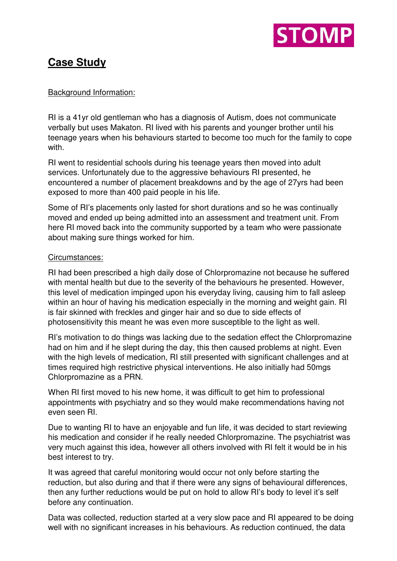

# **Case Study**

## Background Information:

RI is a 41yr old gentleman who has a diagnosis of Autism, does not communicate verbally but uses Makaton. RI lived with his parents and younger brother until his teenage years when his behaviours started to become too much for the family to cope with.

RI went to residential schools during his teenage years then moved into adult services. Unfortunately due to the aggressive behaviours RI presented, he encountered a number of placement breakdowns and by the age of 27yrs had been exposed to more than 400 paid people in his life.

Some of RI's placements only lasted for short durations and so he was continually moved and ended up being admitted into an assessment and treatment unit. From here RI moved back into the community supported by a team who were passionate about making sure things worked for him.

## Circumstances:

RI had been prescribed a high daily dose of Chlorpromazine not because he suffered with mental health but due to the severity of the behaviours he presented. However, this level of medication impinged upon his everyday living, causing him to fall asleep within an hour of having his medication especially in the morning and weight gain. RI is fair skinned with freckles and ginger hair and so due to side effects of photosensitivity this meant he was even more susceptible to the light as well.

RI's motivation to do things was lacking due to the sedation effect the Chlorpromazine had on him and if he slept during the day, this then caused problems at night. Even with the high levels of medication, RI still presented with significant challenges and at times required high restrictive physical interventions. He also initially had 50mgs Chlorpromazine as a PRN.

When RI first moved to his new home, it was difficult to get him to professional appointments with psychiatry and so they would make recommendations having not even seen RI.

Due to wanting RI to have an enjoyable and fun life, it was decided to start reviewing his medication and consider if he really needed Chlorpromazine. The psychiatrist was very much against this idea, however all others involved with RI felt it would be in his best interest to try.

It was agreed that careful monitoring would occur not only before starting the reduction, but also during and that if there were any signs of behavioural differences, then any further reductions would be put on hold to allow RI's body to level it's self before any continuation.

Data was collected, reduction started at a very slow pace and RI appeared to be doing well with no significant increases in his behaviours. As reduction continued, the data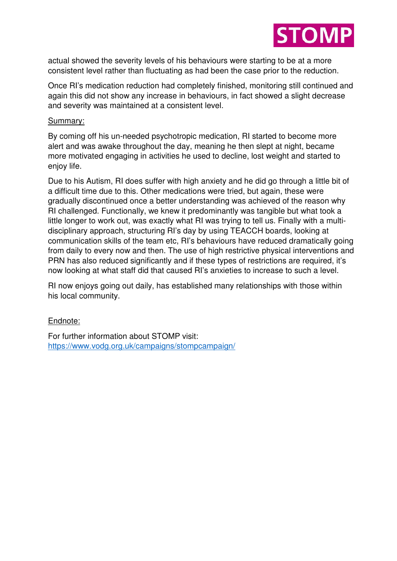

actual showed the severity levels of his behaviours were starting to be at a more consistent level rather than fluctuating as had been the case prior to the reduction.

Once RI's medication reduction had completely finished, monitoring still continued and again this did not show any increase in behaviours, in fact showed a slight decrease and severity was maintained at a consistent level.

### Summary:

By coming off his un-needed psychotropic medication, RI started to become more alert and was awake throughout the day, meaning he then slept at night, became more motivated engaging in activities he used to decline, lost weight and started to enjoy life.

Due to his Autism, RI does suffer with high anxiety and he did go through a little bit of a difficult time due to this. Other medications were tried, but again, these were gradually discontinued once a better understanding was achieved of the reason why RI challenged. Functionally, we knew it predominantly was tangible but what took a little longer to work out, was exactly what RI was trying to tell us. Finally with a multidisciplinary approach, structuring RI's day by using TEACCH boards, looking at communication skills of the team etc, RI's behaviours have reduced dramatically going from daily to every now and then. The use of high restrictive physical interventions and PRN has also reduced significantly and if these types of restrictions are required, it's now looking at what staff did that caused RI's anxieties to increase to such a level.

RI now enjoys going out daily, has established many relationships with those within his local community.

### Endnote:

For further information about STOMP visit: <https://www.vodg.org.uk/campaigns/stompcampaign/>